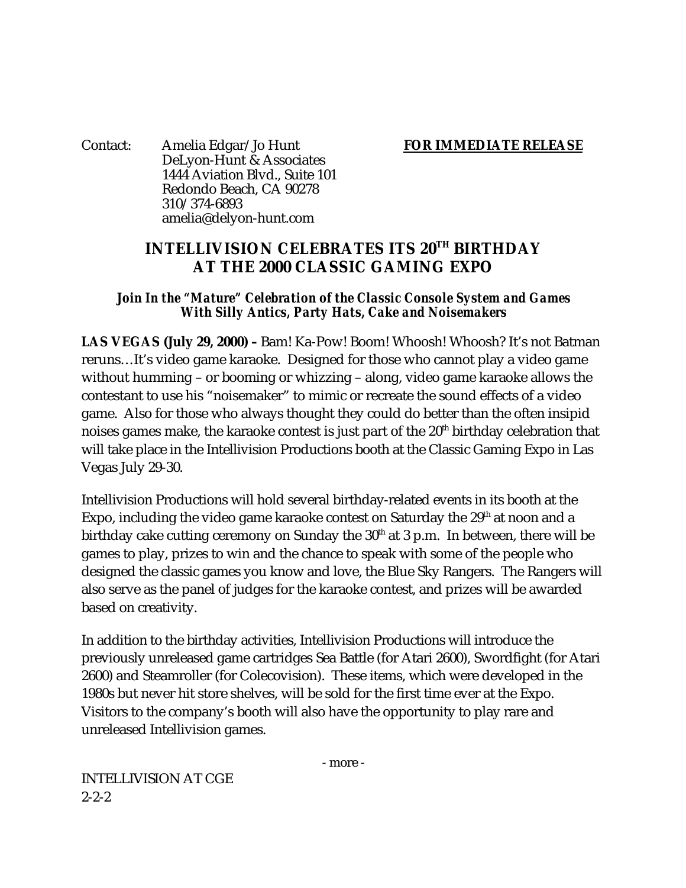Contact: Amelia Edgar/Jo Hunt **FOR IMMEDIATE RELEASE** DeLyon-Hunt & Associates 1444 Aviation Blvd., Suite 101 Redondo Beach, CA 90278 310/374-6893 amelia@delyon-hunt.com

## **INTELLIVISION CELEBRATES ITS 20TH BIRTHDAY AT THE 2000 CLASSIC GAMING EXPO**

### *Join In the "Mature" Celebration of the Classic Console System and Games With Silly Antics, Party Hats, Cake and Noisemakers*

**LAS VEGAS (July 29, 2000) –** Bam! Ka-Pow! Boom! Whoosh! Whoosh? It's not Batman reruns…It's video game karaoke. Designed for those who cannot play a video game without humming – or booming or whizzing – along, video game karaoke allows the contestant to use his "noisemaker" to mimic or recreate the sound effects of a video game. Also for those who always thought they could do better than the often insipid noises games make, the karaoke contest is just part of the 20<sup>th</sup> birthday celebration that will take place in the Intellivision Productions booth at the Classic Gaming Expo in Las Vegas July 29-30.

Intellivision Productions will hold several birthday-related events in its booth at the Expo, including the video game karaoke contest on Saturday the  $29<sup>th</sup>$  at noon and a birthday cake cutting ceremony on Sunday the  $30<sup>th</sup>$  at 3 p.m. In between, there will be games to play, prizes to win and the chance to speak with some of the people who designed the classic games you know and love, the Blue Sky Rangers. The Rangers will also serve as the panel of judges for the karaoke contest, and prizes will be awarded based on creativity.

In addition to the birthday activities, Intellivision Productions will introduce the previously unreleased game cartridges Sea Battle (for Atari 2600), Swordfight (for Atari 2600) and Steamroller (for Colecovision). These items, which were developed in the 1980s but never hit store shelves, will be sold for the first time ever at the Expo. Visitors to the company's booth will also have the opportunity to play rare and unreleased Intellivision games.

- more -

INTELLIVISION AT CGE  $2 - 2 - 2$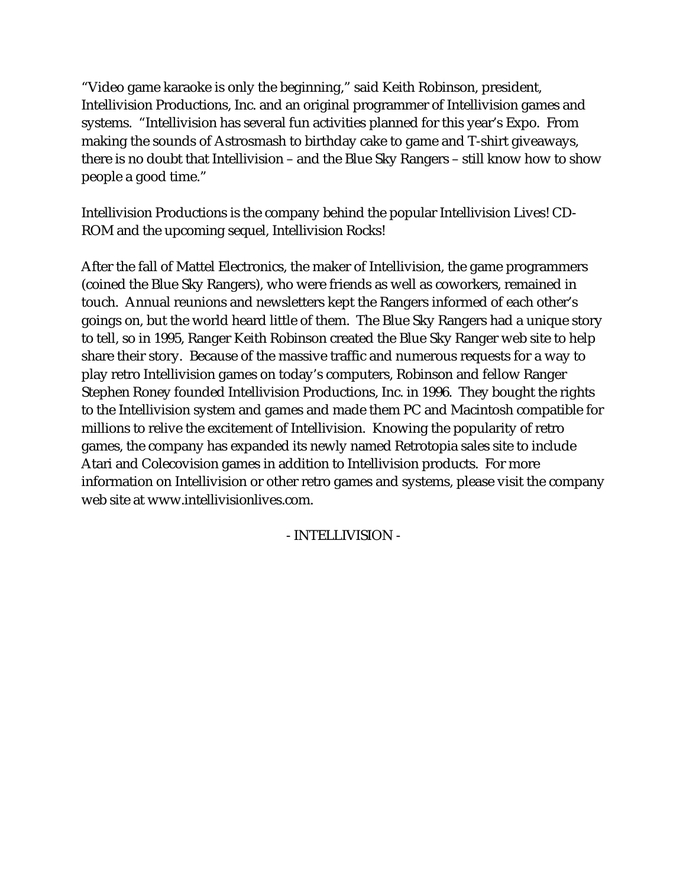"Video game karaoke is only the beginning," said Keith Robinson, president, Intellivision Productions, Inc. and an original programmer of Intellivision games and systems. "Intellivision has several fun activities planned for this year's Expo. From making the sounds of Astrosmash to birthday cake to game and T-shirt giveaways, there is no doubt that Intellivision – and the Blue Sky Rangers – still know how to show people a good time."

Intellivision Productions is the company behind the popular Intellivision Lives! CD-ROM and the upcoming sequel, Intellivision Rocks!

After the fall of Mattel Electronics, the maker of Intellivision, the game programmers (coined the Blue Sky Rangers), who were friends as well as coworkers, remained in touch. Annual reunions and newsletters kept the Rangers informed of each other's goings on, but the world heard little of them. The Blue Sky Rangers had a unique story to tell, so in 1995, Ranger Keith Robinson created the Blue Sky Ranger web site to help share their story. Because of the massive traffic and numerous requests for a way to play retro Intellivision games on today's computers, Robinson and fellow Ranger Stephen Roney founded Intellivision Productions, Inc. in 1996. They bought the rights to the Intellivision system and games and made them PC and Macintosh compatible for millions to relive the excitement of Intellivision. Knowing the popularity of retro games, the company has expanded its newly named Retrotopia sales site to include Atari and Colecovision games in addition to Intellivision products. For more information on Intellivision or other retro games and systems, please visit the company web site at www.intellivisionlives.com.

## - INTELLIVISION -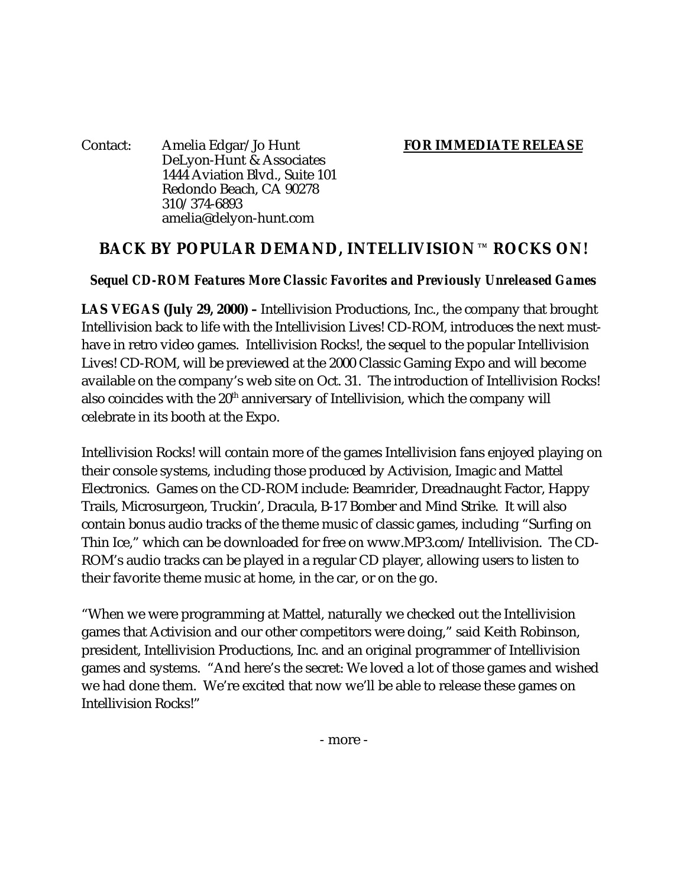Contact: Amelia Edgar/Jo Hunt **FOR IMMEDIATE RELEASE** DeLyon-Hunt & Associates 1444 Aviation Blvd., Suite 101 Redondo Beach, CA 90278 310/374-6893 amelia@delyon-hunt.com

## BACK BY POPULAR DEMAND, INTELLIVISION TM ROCKS ON!

## *Sequel CD-ROM Features More Classic Favorites and Previously Unreleased Games*

**LAS VEGAS (July 29, 2000) –** Intellivision Productions, Inc., the company that brought Intellivision back to life with the Intellivision Lives! CD-ROM, introduces the next musthave in retro video games. Intellivision Rocks!, the sequel to the popular Intellivision Lives! CD-ROM, will be previewed at the 2000 Classic Gaming Expo and will become available on the company's web site on Oct. 31. The introduction of Intellivision Rocks! also coincides with the 20<sup>th</sup> anniversary of Intellivision, which the company will celebrate in its booth at the Expo.

Intellivision Rocks! will contain more of the games Intellivision fans enjoyed playing on their console systems, including those produced by Activision, Imagic and Mattel Electronics. Games on the CD-ROM include: Beamrider, Dreadnaught Factor, Happy Trails, Microsurgeon, Truckin', Dracula, B-17 Bomber and Mind Strike. It will also contain bonus audio tracks of the theme music of classic games, including "Surfing on Thin Ice," which can be downloaded for free on www.MP3.com/Intellivision. The CD-ROM's audio tracks can be played in a regular CD player, allowing users to listen to their favorite theme music at home, in the car, or on the go.

"When we were programming at Mattel, naturally we checked out the Intellivision games that Activision and our other competitors were doing," said Keith Robinson, president, Intellivision Productions, Inc. and an original programmer of Intellivision games and systems. "And here's the secret: We loved a lot of those games and wished we had done them. We're excited that now we'll be able to release these games on Intellivision Rocks!"

- more -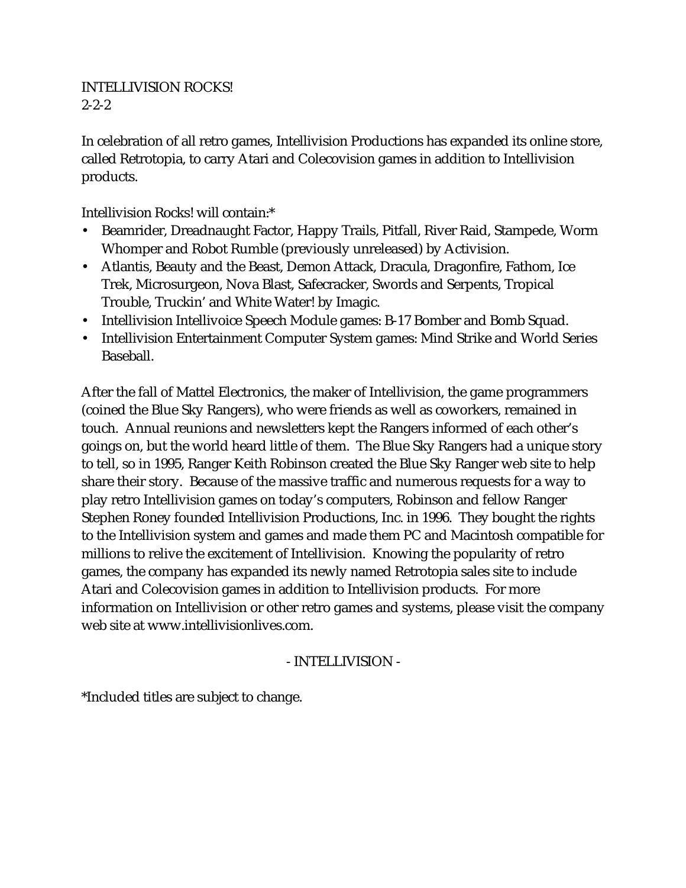#### INTELLIVISION ROCKS! 2-2-2

In celebration of all retro games, Intellivision Productions has expanded its online store, called Retrotopia, to carry Atari and Colecovision games in addition to Intellivision products.

Intellivision Rocks! will contain:\*

- Beamrider, Dreadnaught Factor, Happy Trails, Pitfall, River Raid, Stampede, Worm Whomper and Robot Rumble (previously unreleased) by Activision.
- Atlantis, Beauty and the Beast, Demon Attack, Dracula, Dragonfire, Fathom, Ice Trek, Microsurgeon, Nova Blast, Safecracker, Swords and Serpents, Tropical Trouble, Truckin' and White Water! by Imagic.
- Intellivision Intellivoice Speech Module games: B-17 Bomber and Bomb Squad.
- Intellivision Entertainment Computer System games: Mind Strike and World Series Baseball.

After the fall of Mattel Electronics, the maker of Intellivision, the game programmers (coined the Blue Sky Rangers), who were friends as well as coworkers, remained in touch. Annual reunions and newsletters kept the Rangers informed of each other's goings on, but the world heard little of them. The Blue Sky Rangers had a unique story to tell, so in 1995, Ranger Keith Robinson created the Blue Sky Ranger web site to help share their story. Because of the massive traffic and numerous requests for a way to play retro Intellivision games on today's computers, Robinson and fellow Ranger Stephen Roney founded Intellivision Productions, Inc. in 1996. They bought the rights to the Intellivision system and games and made them PC and Macintosh compatible for millions to relive the excitement of Intellivision. Knowing the popularity of retro games, the company has expanded its newly named Retrotopia sales site to include Atari and Colecovision games in addition to Intellivision products. For more information on Intellivision or other retro games and systems, please visit the company web site at www.intellivisionlives.com.

## - INTELLIVISION -

\*Included titles are subject to change.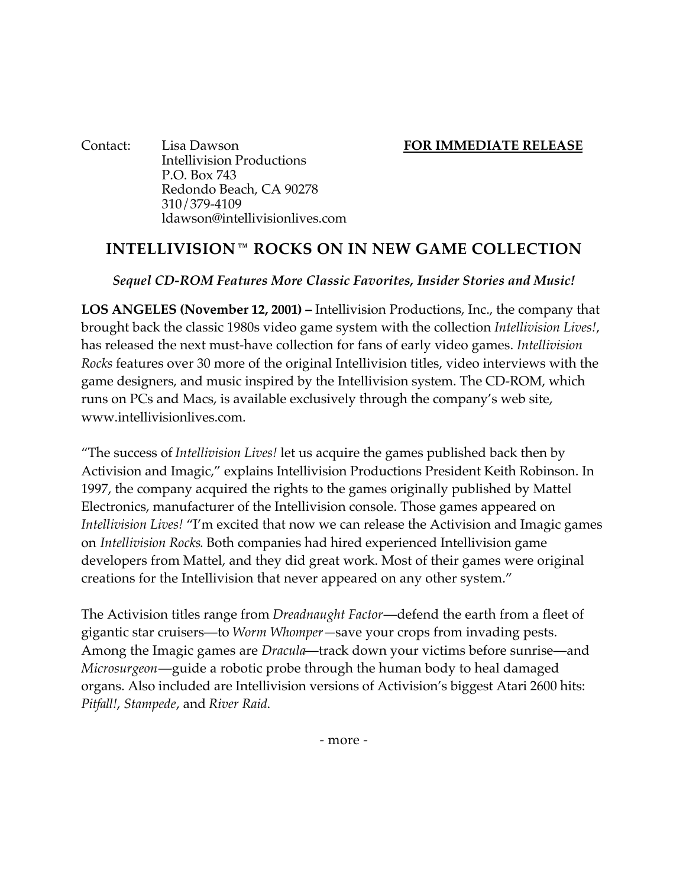Contact: Lisa Dawson **FOR IMMEDIATE RELEASE** Intellivision Productions P.O. Box 743 Redondo Beach, CA 90278 310/379-4109 ldawson@intellivisionlives.com

## **INTELLIVISION TM ROCKS ON IN NEW GAME COLLECTION**

#### *Sequel CD-ROM Features More Classic Favorites, Insider Stories and Music!*

**LOS ANGELES (November 12, 2001) –** Intellivision Productions, Inc., the company that brought back the classic 1980s video game system with the collection *Intellivision Lives!*, has released the next must-have collection for fans of early video games. *Intellivision Rocks* features over 30 more of the original Intellivision titles, video interviews with the game designers, and music inspired by the Intellivision system. The CD-ROM, which runs on PCs and Macs, is available exclusively through the company's web site, www.intellivisionlives.com.

"The success of *Intellivision Lives!* let us acquire the games published back then by Activision and Imagic," explains Intellivision Productions President Keith Robinson. In 1997, the company acquired the rights to the games originally published by Mattel Electronics, manufacturer of the Intellivision console. Those games appeared on *Intellivision Lives!* "I'm excited that now we can release the Activision and Imagic games on *Intellivision Rocks*. Both companies had hired experienced Intellivision game developers from Mattel, and they did great work. Most of their games were original creations for the Intellivision that never appeared on any other system."

The Activision titles range from *Dreadnaught Factor*—defend the earth from a fleet of gigantic star cruisers—to *Worm Whomper—*save your crops from invading pests. Among the Imagic games are *Dracula*—track down your victims before sunrise—and *Microsurgeon*—guide a robotic probe through the human body to heal damaged organs. Also included are Intellivision versions of Activision's biggest Atari 2600 hits: *Pitfall!*, *Stampede*, and *River Raid*.

- more -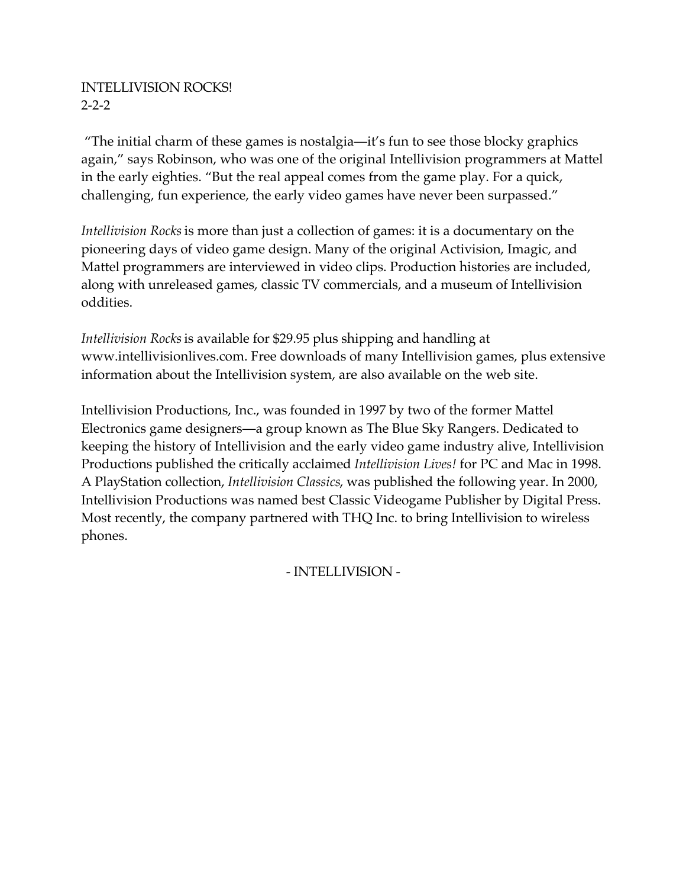## INTELLIVISION ROCKS! 2-2-2

 "The initial charm of these games is nostalgia—it's fun to see those blocky graphics again," says Robinson, who was one of the original Intellivision programmers at Mattel in the early eighties. "But the real appeal comes from the game play. For a quick, challenging, fun experience, the early video games have never been surpassed."

*Intellivision Rocks* is more than just a collection of games: it is a documentary on the pioneering days of video game design. Many of the original Activision, Imagic, and Mattel programmers are interviewed in video clips. Production histories are included, along with unreleased games, classic TV commercials, and a museum of Intellivision oddities.

*Intellivision Rocks* is available for \$29.95 plus shipping and handling at www.intellivisionlives.com. Free downloads of many Intellivision games, plus extensive information about the Intellivision system, are also available on the web site.

Intellivision Productions, Inc., was founded in 1997 by two of the former Mattel Electronics game designers—a group known as The Blue Sky Rangers. Dedicated to keeping the history of Intellivision and the early video game industry alive, Intellivision Productions published the critically acclaimed *Intellivision Lives!* for PC and Mac in 1998. A PlayStation collection, *Intellivision Classics*, was published the following year. In 2000, Intellivision Productions was named best Classic Videogame Publisher by Digital Press. Most recently, the company partnered with THQ Inc. to bring Intellivision to wireless phones.

- INTELLIVISION -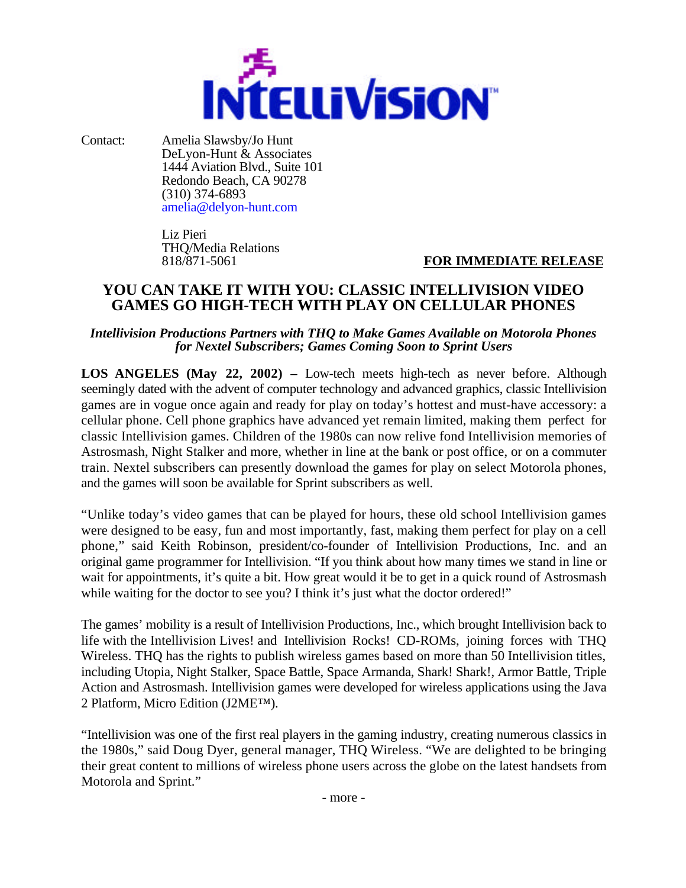

Contact: Amelia Slawsby/Jo Hunt DeLyon-Hunt & Associates 1444 Aviation Blvd., Suite 101 Redondo Beach, CA 90278 (310) 374-6893 amelia@delyon-hunt.com

> Liz Pieri THQ/Media Relations

**FOR IMMEDIATE RELEASE** 

## **YOU CAN TAKE IT WITH YOU: CLASSIC INTELLIVISION VIDEO GAMES GO HIGH-TECH WITH PLAY ON CELLULAR PHONES**

#### *Intellivision Productions Partners with THQ to Make Games Available on Motorola Phones for Nextel Subscribers; Games Coming Soon to Sprint Users*

**LOS ANGELES (May 22, 2002) –** Low-tech meets high-tech as never before. Although seemingly dated with the advent of computer technology and advanced graphics, classic Intellivision games are in vogue once again and ready for play on today's hottest and must-have accessory: a cellular phone. Cell phone graphics have advanced yet remain limited, making them perfect for classic Intellivision games. Children of the 1980s can now relive fond Intellivision memories of Astrosmash, Night Stalker and more, whether in line at the bank or post office, or on a commuter train. Nextel subscribers can presently download the games for play on select Motorola phones, and the games will soon be available for Sprint subscribers as well.

"Unlike today's video games that can be played for hours, these old school Intellivision games were designed to be easy, fun and most importantly, fast, making them perfect for play on a cell phone," said Keith Robinson, president/co-founder of Intellivision Productions, Inc. and an original game programmer for Intellivision. "If you think about how many times we stand in line or wait for appointments, it's quite a bit. How great would it be to get in a quick round of Astrosmash while waiting for the doctor to see you? I think it's just what the doctor ordered!"

The games' mobility is a result of Intellivision Productions, Inc., which brought Intellivision back to life with the Intellivision Lives! and Intellivision Rocks! CD-ROMs, joining forces with THQ Wireless. THQ has the rights to publish wireless games based on more than 50 Intellivision titles, including Utopia, Night Stalker, Space Battle, Space Armanda, Shark! Shark!, Armor Battle, Triple Action and Astrosmash. Intellivision games were developed for wireless applications using the Java 2 Platform, Micro Edition (J2ME™).

"Intellivision was one of the first real players in the gaming industry, creating numerous classics in the 1980s," said Doug Dyer, general manager, THQ Wireless. "We are delighted to be bringing their great content to millions of wireless phone users across the globe on the latest handsets from Motorola and Sprint."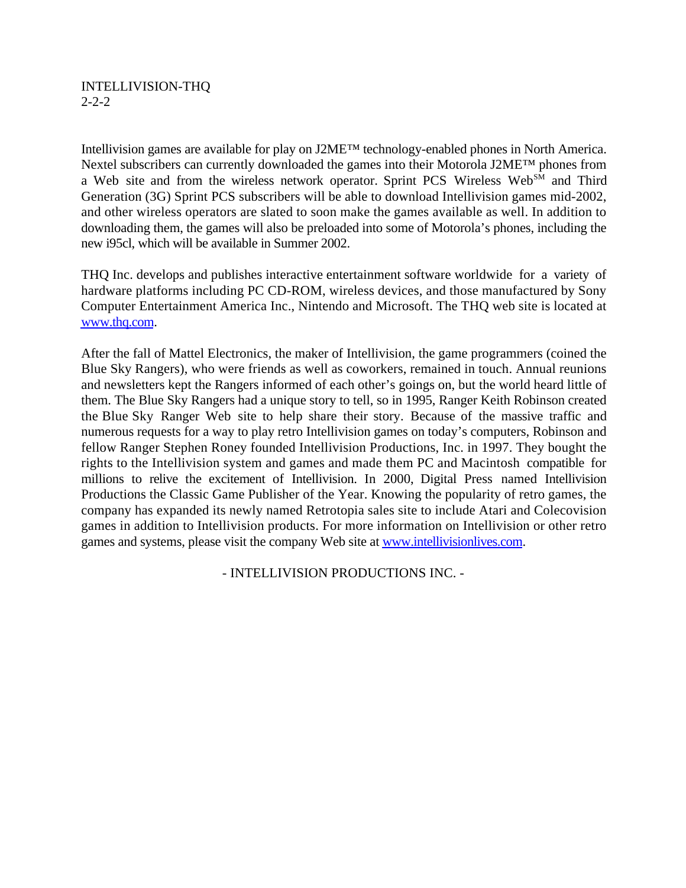#### INTELLIVISION-THQ 2-2-2

Intellivision games are available for play on J2ME™ technology-enabled phones in North America. Nextel subscribers can currently downloaded the games into their Motorola J2ME™ phones from a Web site and from the wireless network operator. Sprint PCS Wireless Web<sup>SM</sup> and Third Generation (3G) Sprint PCS subscribers will be able to download Intellivision games mid-2002, and other wireless operators are slated to soon make the games available as well. In addition to downloading them, the games will also be preloaded into some of Motorola's phones, including the new i95cl, which will be available in Summer 2002.

THQ Inc. develops and publishes interactive entertainment software worldwide for a variety of hardware platforms including PC CD-ROM, wireless devices, and those manufactured by Sony Computer Entertainment America Inc., Nintendo and Microsoft. The THQ web site is located at www.thq.com.

After the fall of Mattel Electronics, the maker of Intellivision, the game programmers (coined the Blue Sky Rangers), who were friends as well as coworkers, remained in touch. Annual reunions and newsletters kept the Rangers informed of each other's goings on, but the world heard little of them. The Blue Sky Rangers had a unique story to tell, so in 1995, Ranger Keith Robinson created the Blue Sky Ranger Web site to help share their story. Because of the massive traffic and numerous requests for a way to play retro Intellivision games on today's computers, Robinson and fellow Ranger Stephen Roney founded Intellivision Productions, Inc. in 1997. They bought the rights to the Intellivision system and games and made them PC and Macintosh compatible for millions to relive the excitement of Intellivision. In 2000, Digital Press named Intellivision Productions the Classic Game Publisher of the Year. Knowing the popularity of retro games, the company has expanded its newly named Retrotopia sales site to include Atari and Colecovision games in addition to Intellivision products. For more information on Intellivision or other retro games and systems, please visit the company Web site at www.intellivisionlives.com.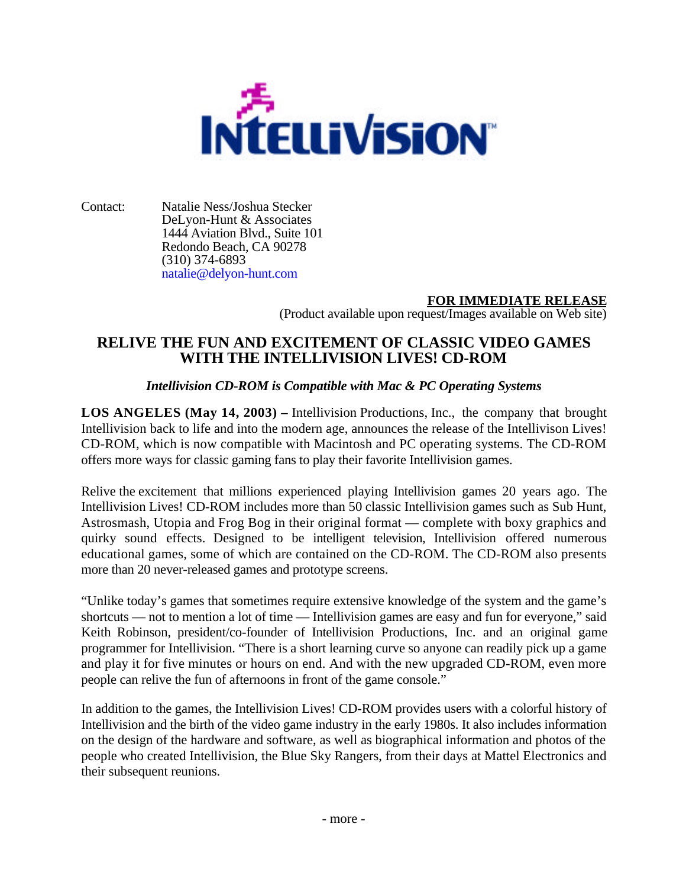

Contact: Natalie Ness/Joshua Stecker DeLyon-Hunt & Associates 1444 Aviation Blvd., Suite 101 Redondo Beach, CA 90278 (310) 374-6893 natalie@delyon-hunt.com

### **FOR IMMEDIATE RELEASE**

(Product available upon request/Images available on Web site)

## **RELIVE THE FUN AND EXCITEMENT OF CLASSIC VIDEO GAMES WITH THE INTELLIVISION LIVES! CD-ROM**

#### *Intellivision CD-ROM is Compatible with Mac & PC Operating Systems*

**LOS ANGELES (May 14, 2003) –** Intellivision Productions, Inc., the company that brought Intellivision back to life and into the modern age, announces the release of the Intellivison Lives! CD-ROM, which is now compatible with Macintosh and PC operating systems. The CD-ROM offers more ways for classic gaming fans to play their favorite Intellivision games.

Relive the excitement that millions experienced playing Intellivision games 20 years ago. The Intellivision Lives! CD-ROM includes more than 50 classic Intellivision games such as Sub Hunt, Astrosmash, Utopia and Frog Bog in their original format — complete with boxy graphics and quirky sound effects. Designed to be intelligent television, Intellivision offered numerous educational games, some of which are contained on the CD-ROM. The CD-ROM also presents more than 20 never-released games and prototype screens.

"Unlike today's games that sometimes require extensive knowledge of the system and the game's shortcuts — not to mention a lot of time — Intellivision games are easy and fun for everyone," said Keith Robinson, president/co-founder of Intellivision Productions, Inc. and an original game programmer for Intellivision. "There is a short learning curve so anyone can readily pick up a game and play it for five minutes or hours on end. And with the new upgraded CD-ROM, even more people can relive the fun of afternoons in front of the game console."

In addition to the games, the Intellivision Lives! CD-ROM provides users with a colorful history of Intellivision and the birth of the video game industry in the early 1980s. It also includes information on the design of the hardware and software, as well as biographical information and photos of the people who created Intellivision, the Blue Sky Rangers, from their days at Mattel Electronics and their subsequent reunions.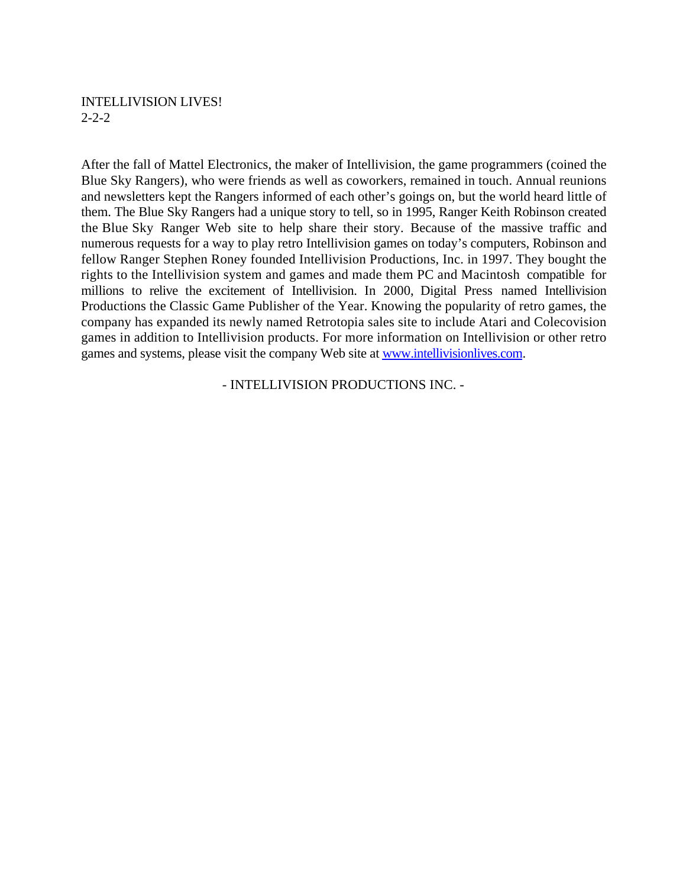#### INTELLIVISION LIVES! 2-2-2

After the fall of Mattel Electronics, the maker of Intellivision, the game programmers (coined the Blue Sky Rangers), who were friends as well as coworkers, remained in touch. Annual reunions and newsletters kept the Rangers informed of each other's goings on, but the world heard little of them. The Blue Sky Rangers had a unique story to tell, so in 1995, Ranger Keith Robinson created the Blue Sky Ranger Web site to help share their story. Because of the massive traffic and numerous requests for a way to play retro Intellivision games on today's computers, Robinson and fellow Ranger Stephen Roney founded Intellivision Productions, Inc. in 1997. They bought the rights to the Intellivision system and games and made them PC and Macintosh compatible for millions to relive the excitement of Intellivision. In 2000, Digital Press named Intellivision Productions the Classic Game Publisher of the Year. Knowing the popularity of retro games, the company has expanded its newly named Retrotopia sales site to include Atari and Colecovision games in addition to Intellivision products. For more information on Intellivision or other retro games and systems, please visit the company Web site at www.intellivisionlives.com.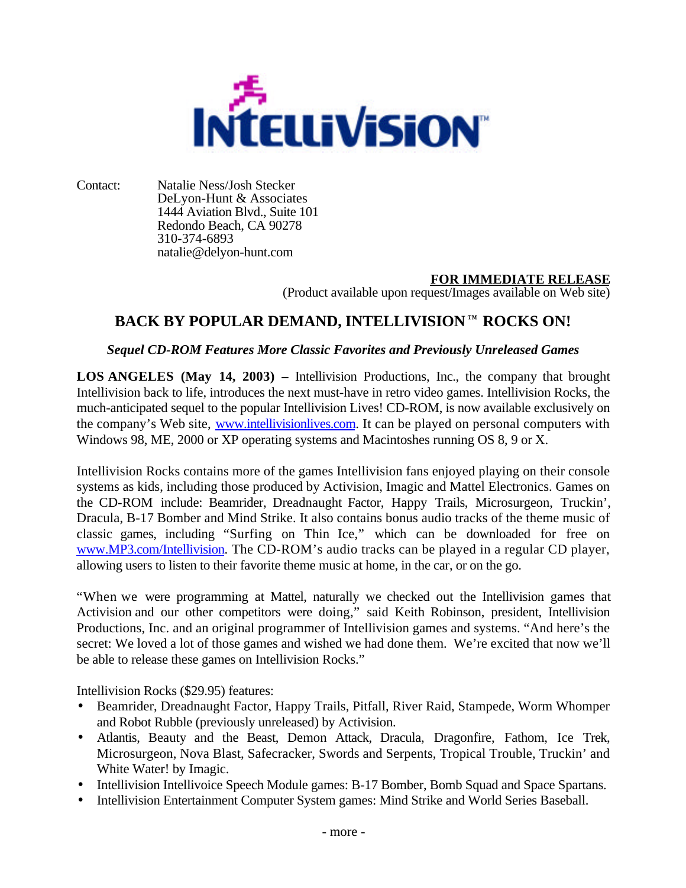

Contact: Natalie Ness/Josh Stecker DeLyon-Hunt & Associates 1444 Aviation Blvd., Suite 101 Redondo Beach, CA 90278 310-374-6893 natalie@delyon-hunt.com

### **FOR IMMEDIATE RELEASE**

(Product available upon request/Images available on Web site)

## BACK BY POPULAR DEMAND, INTELLIVISION<sup>TM</sup> ROCKS ON!

#### *Sequel CD-ROM Features More Classic Favorites and Previously Unreleased Games*

**LOS ANGELES (May 14, 2003) –** Intellivision Productions, Inc., the company that brought Intellivision back to life, introduces the next must-have in retro video games. Intellivision Rocks, the much-anticipated sequel to the popular Intellivision Lives! CD-ROM, is now available exclusively on the company's Web site, www.intellivisionlives.com. It can be played on personal computers with Windows 98, ME, 2000 or XP operating systems and Macintoshes running OS 8, 9 or X.

Intellivision Rocks contains more of the games Intellivision fans enjoyed playing on their console systems as kids, including those produced by Activision, Imagic and Mattel Electronics. Games on the CD-ROM include: Beamrider, Dreadnaught Factor, Happy Trails, Microsurgeon, Truckin', Dracula, B-17 Bomber and Mind Strike. It also contains bonus audio tracks of the theme music of classic games, including "Surfing on Thin Ice," which can be downloaded for free on www.MP3.com/Intellivision. The CD-ROM's audio tracks can be played in a regular CD player, allowing users to listen to their favorite theme music at home, in the car, or on the go.

"When we were programming at Mattel, naturally we checked out the Intellivision games that Activision and our other competitors were doing," said Keith Robinson, president, Intellivision Productions, Inc. and an original programmer of Intellivision games and systems. "And here's the secret: We loved a lot of those games and wished we had done them. We're excited that now we'll be able to release these games on Intellivision Rocks."

Intellivision Rocks (\$29.95) features:

- Beamrider, Dreadnaught Factor, Happy Trails, Pitfall, River Raid, Stampede, Worm Whomper and Robot Rubble (previously unreleased) by Activision.
- Atlantis, Beauty and the Beast, Demon Attack, Dracula, Dragonfire, Fathom, Ice Trek, Microsurgeon, Nova Blast, Safecracker, Swords and Serpents, Tropical Trouble, Truckin' and White Water! by Imagic.
- Intellivision Intellivoice Speech Module games: B-17 Bomber, Bomb Squad and Space Spartans.
- Intellivision Entertainment Computer System games: Mind Strike and World Series Baseball.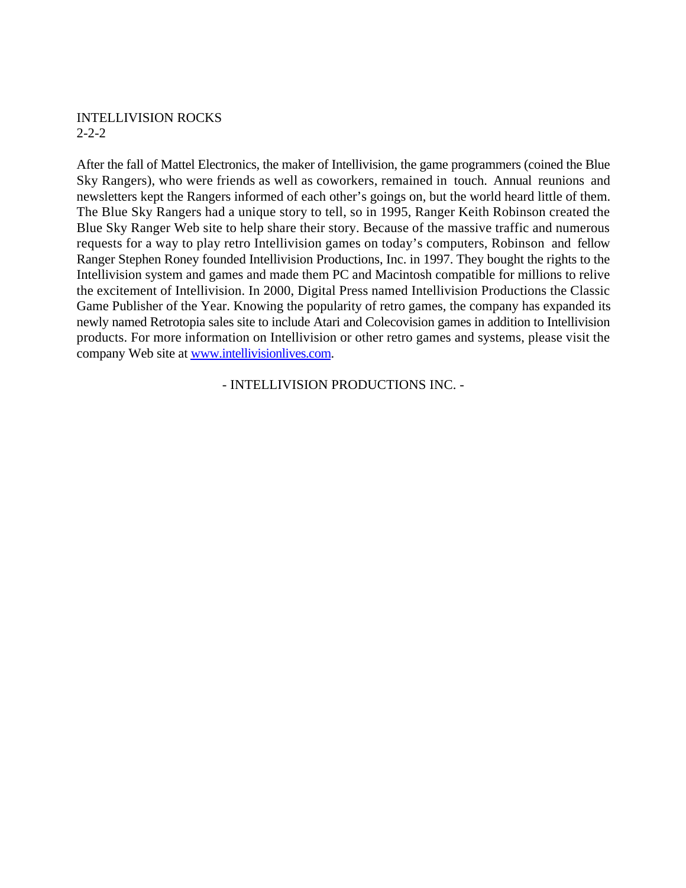#### INTELLIVISION ROCKS 2-2-2

After the fall of Mattel Electronics, the maker of Intellivision, the game programmers (coined the Blue Sky Rangers), who were friends as well as coworkers, remained in touch. Annual reunions and newsletters kept the Rangers informed of each other's goings on, but the world heard little of them. The Blue Sky Rangers had a unique story to tell, so in 1995, Ranger Keith Robinson created the Blue Sky Ranger Web site to help share their story. Because of the massive traffic and numerous requests for a way to play retro Intellivision games on today's computers, Robinson and fellow Ranger Stephen Roney founded Intellivision Productions, Inc. in 1997. They bought the rights to the Intellivision system and games and made them PC and Macintosh compatible for millions to relive the excitement of Intellivision. In 2000, Digital Press named Intellivision Productions the Classic Game Publisher of the Year. Knowing the popularity of retro games, the company has expanded its newly named Retrotopia sales site to include Atari and Colecovision games in addition to Intellivision products. For more information on Intellivision or other retro games and systems, please visit the company Web site at www.intellivisionlives.com.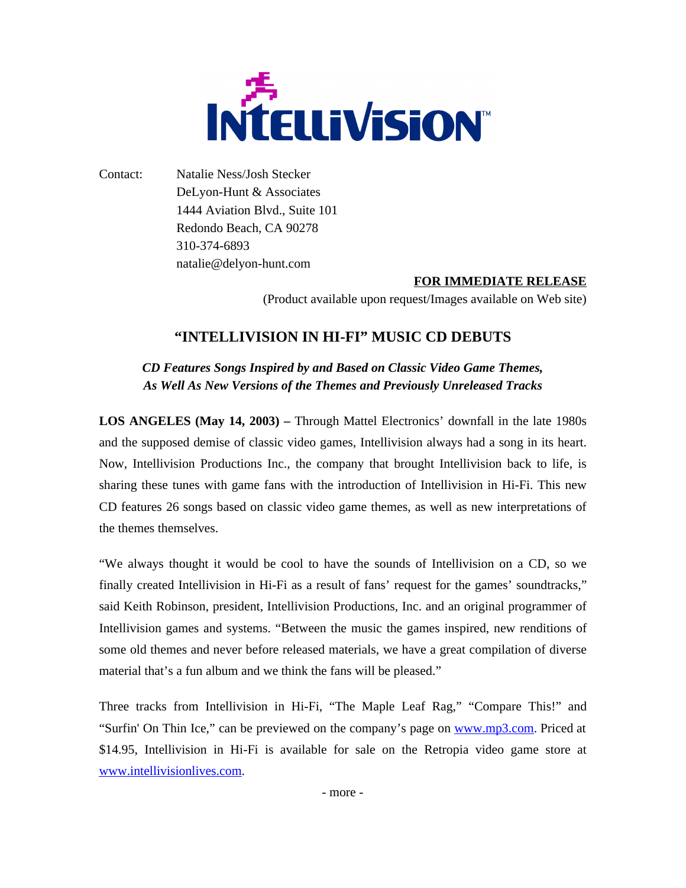

Contact: Natalie Ness/Josh Stecker DeLyon-Hunt & Associates 1444 Aviation Blvd., Suite 101 Redondo Beach, CA 90278 310-374-6893 natalie@delyon-hunt.com

#### **FOR IMMEDIATE RELEASE**

(Product available upon request/Images available on Web site)

## **"INTELLIVISION IN HI-FI" MUSIC CD DEBUTS**

*CD Features Songs Inspired by and Based on Classic Video Game Themes, As Well As New Versions of the Themes and Previously Unreleased Tracks*

**LOS ANGELES (May 14, 2003) –** Through Mattel Electronics' downfall in the late 1980s and the supposed demise of classic video games, Intellivision always had a song in its heart. Now, Intellivision Productions Inc., the company that brought Intellivision back to life, is sharing these tunes with game fans with the introduction of Intellivision in Hi-Fi. This new CD features 26 songs based on classic video game themes, as well as new interpretations of the themes themselves.

"We always thought it would be cool to have the sounds of Intellivision on a CD, so we finally created Intellivision in Hi-Fi as a result of fans' request for the games' soundtracks," said Keith Robinson, president, Intellivision Productions, Inc. and an original programmer of Intellivision games and systems. "Between the music the games inspired, new renditions of some old themes and never before released materials, we have a great compilation of diverse material that's a fun album and we think the fans will be pleased."

Three tracks from Intellivision in Hi-Fi, "The Maple Leaf Rag," "Compare This!" and "Surfin' On Thin Ice," can be previewed on the company's page on www.mp3.com. Priced at \$14.95, Intellivision in Hi-Fi is available for sale on the Retropia video game store at www.intellivisionlives.com.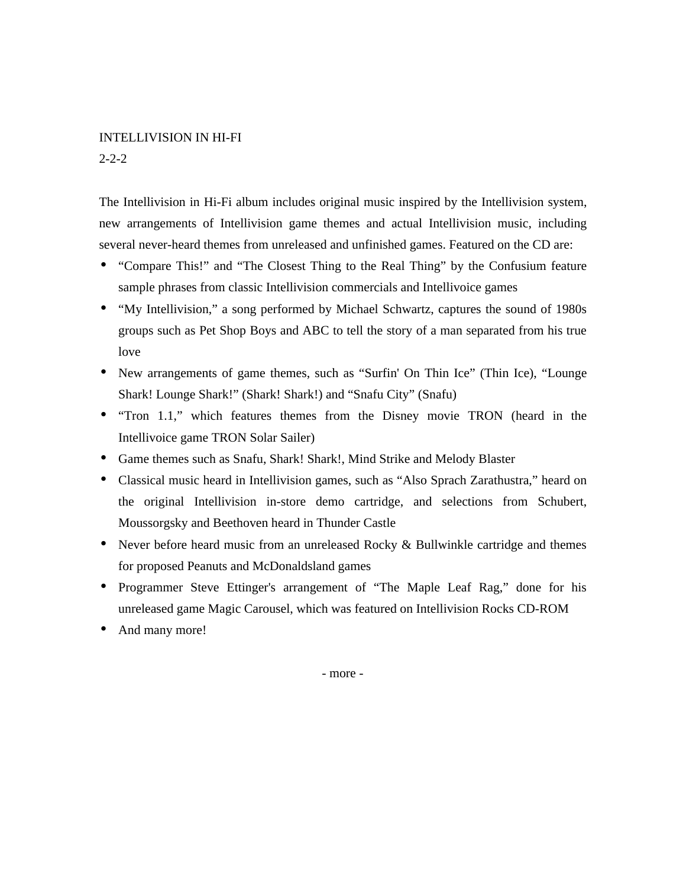#### INTELLIVISION IN HI-FI

2-2-2

The Intellivision in Hi-Fi album includes original music inspired by the Intellivision system, new arrangements of Intellivision game themes and actual Intellivision music, including several never-heard themes from unreleased and unfinished games. Featured on the CD are:

- "Compare This!" and "The Closest Thing to the Real Thing" by the Confusium feature sample phrases from classic Intellivision commercials and Intellivoice games
- "My Intellivision," a song performed by Michael Schwartz, captures the sound of 1980s groups such as Pet Shop Boys and ABC to tell the story of a man separated from his true love
- New arrangements of game themes, such as "Surfin' On Thin Ice" (Thin Ice), "Lounge Shark! Lounge Shark!" (Shark! Shark!) and "Snafu City" (Snafu)
- "Tron 1.1," which features themes from the Disney movie TRON (heard in the Intellivoice game TRON Solar Sailer)
- Game themes such as Snafu, Shark! Shark!, Mind Strike and Melody Blaster
- Classical music heard in Intellivision games, such as "Also Sprach Zarathustra," heard on the original Intellivision in-store demo cartridge, and selections from Schubert, Moussorgsky and Beethoven heard in Thunder Castle
- Never before heard music from an unreleased Rocky & Bullwinkle cartridge and themes for proposed Peanuts and McDonaldsland games
- Programmer Steve Ettinger's arrangement of "The Maple Leaf Rag," done for his unreleased game Magic Carousel, which was featured on Intellivision Rocks CD-ROM
- And many more!

- more -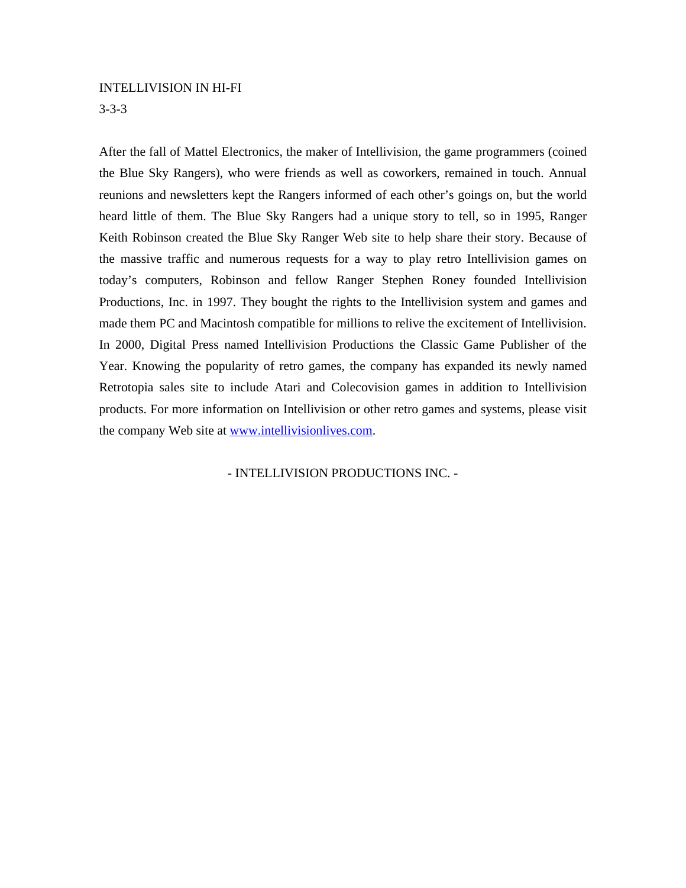#### INTELLIVISION IN HI-FI

3-3-3

After the fall of Mattel Electronics, the maker of Intellivision, the game programmers (coined the Blue Sky Rangers), who were friends as well as coworkers, remained in touch. Annual reunions and newsletters kept the Rangers informed of each other's goings on, but the world heard little of them. The Blue Sky Rangers had a unique story to tell, so in 1995, Ranger Keith Robinson created the Blue Sky Ranger Web site to help share their story. Because of the massive traffic and numerous requests for a way to play retro Intellivision games on today's computers, Robinson and fellow Ranger Stephen Roney founded Intellivision Productions, Inc. in 1997. They bought the rights to the Intellivision system and games and made them PC and Macintosh compatible for millions to relive the excitement of Intellivision. In 2000, Digital Press named Intellivision Productions the Classic Game Publisher of the Year. Knowing the popularity of retro games, the company has expanded its newly named Retrotopia sales site to include Atari and Colecovision games in addition to Intellivision products. For more information on Intellivision or other retro games and systems, please visit the company Web site at www.intellivisionlives.com.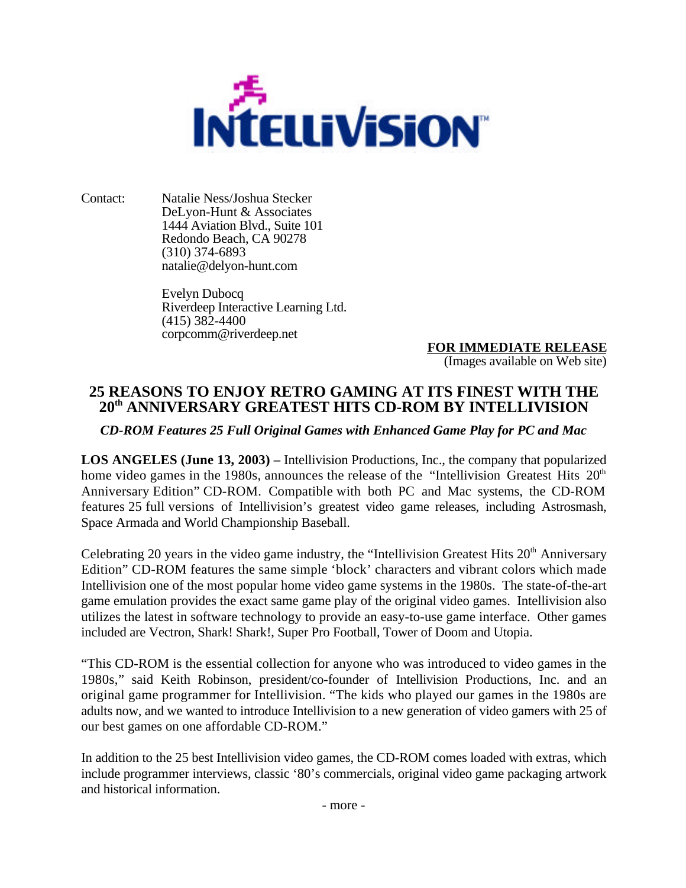

Contact: Natalie Ness/Joshua Stecker DeLyon-Hunt & Associates 1444 Aviation Blvd., Suite 101 Redondo Beach, CA 90278 (310) 374-6893 natalie@delyon-hunt.com

> Evelyn Dubocq Riverdeep Interactive Learning Ltd.  $(415)$  382-4400 corpcomm@riverdeep.net

**FOR IMMEDIATE RELEASE** (Images available on Web site)

## **25 REASONS TO ENJOY RETRO GAMING AT ITS FINEST WITH THE 20th ANNIVERSARY GREATEST HITS CD-ROM BY INTELLIVISION**

*CD-ROM Features 25 Full Original Games with Enhanced Game Play for PC and Mac*

**LOS ANGELES (June 13, 2003) –** Intellivision Productions, Inc., the company that popularized home video games in the 1980s, announces the release of the "Intellivision Greatest Hits  $20<sup>th</sup>$ Anniversary Edition" CD-ROM. Compatible with both PC and Mac systems, the CD-ROM features 25 full versions of Intellivision's greatest video game releases, including Astrosmash, Space Armada and World Championship Baseball.

Celebrating 20 years in the video game industry, the "Intellivision Greatest Hits  $20<sup>th</sup>$  Anniversary Edition" CD-ROM features the same simple 'block' characters and vibrant colors which made Intellivision one of the most popular home video game systems in the 1980s. The state-of-the-art game emulation provides the exact same game play of the original video games. Intellivision also utilizes the latest in software technology to provide an easy-to-use game interface. Other games included are Vectron, Shark! Shark!, Super Pro Football, Tower of Doom and Utopia.

"This CD-ROM is the essential collection for anyone who was introduced to video games in the 1980s," said Keith Robinson, president/co-founder of Intellivision Productions, Inc. and an original game programmer for Intellivision. "The kids who played our games in the 1980s are adults now, and we wanted to introduce Intellivision to a new generation of video gamers with 25 of our best games on one affordable CD-ROM."

In addition to the 25 best Intellivision video games, the CD-ROM comes loaded with extras, which include programmer interviews, classic '80's commercials, original video game packaging artwork and historical information.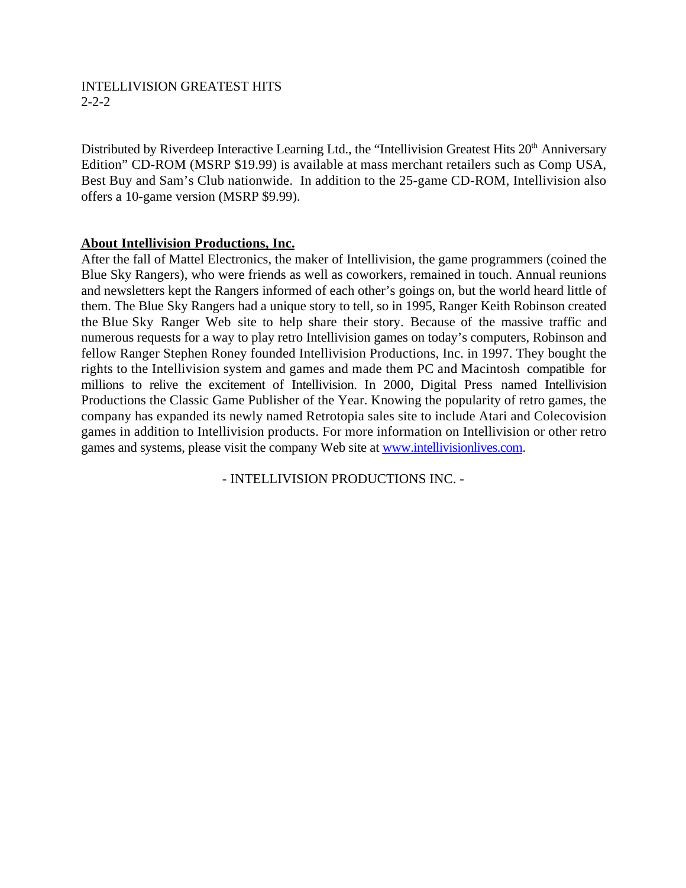#### INTELLIVISION GREATEST HITS 2-2-2

Distributed by Riverdeep Interactive Learning Ltd., the "Intellivision Greatest Hits  $20<sup>th</sup>$  Anniversary Edition" CD-ROM (MSRP \$19.99) is available at mass merchant retailers such as Comp USA, Best Buy and Sam's Club nationwide. In addition to the 25-game CD-ROM, Intellivision also offers a 10-game version (MSRP \$9.99).

#### **About Intellivision Productions, Inc.**

After the fall of Mattel Electronics, the maker of Intellivision, the game programmers (coined the Blue Sky Rangers), who were friends as well as coworkers, remained in touch. Annual reunions and newsletters kept the Rangers informed of each other's goings on, but the world heard little of them. The Blue Sky Rangers had a unique story to tell, so in 1995, Ranger Keith Robinson created the Blue Sky Ranger Web site to help share their story. Because of the massive traffic and numerous requests for a way to play retro Intellivision games on today's computers, Robinson and fellow Ranger Stephen Roney founded Intellivision Productions, Inc. in 1997. They bought the rights to the Intellivision system and games and made them PC and Macintosh compatible for millions to relive the excitement of Intellivision. In 2000, Digital Press named Intellivision Productions the Classic Game Publisher of the Year. Knowing the popularity of retro games, the company has expanded its newly named Retrotopia sales site to include Atari and Colecovision games in addition to Intellivision products. For more information on Intellivision or other retro games and systems, please visit the company Web site at www.intellivisionlives.com.